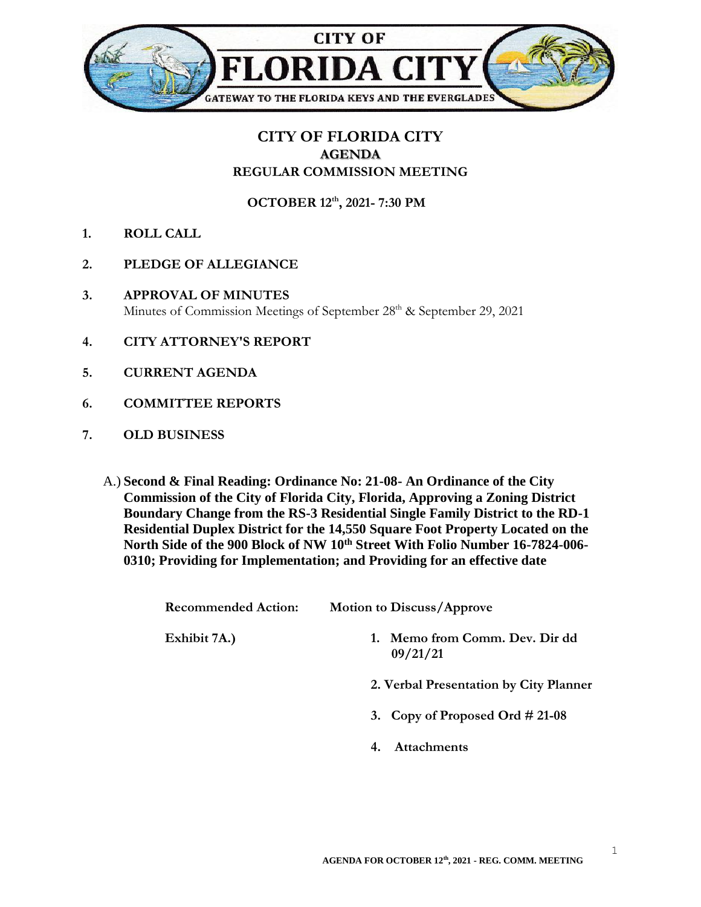

## **CITY OF FLORIDA CITY AGENDA REGULAR COMMISSION MEETING**

**OCTOBER 12th , 2021- 7:30 PM**

- **1. ROLL CALL**
- **2. PLEDGE OF ALLEGIANCE**
- **3. APPROVAL OF MINUTES** Minutes of Commission Meetings of September 28<sup>th</sup> & September 29, 2021
- **4. CITY ATTORNEY'S REPORT**
- **5. CURRENT AGENDA**
- **6. COMMITTEE REPORTS**
- **7. OLD BUSINESS**
	- A.) **Second & Final Reading: Ordinance No: 21-08- An Ordinance of the City Commission of the City of Florida City, Florida, Approving a Zoning District Boundary Change from the RS-3 Residential Single Family District to the RD-1 Residential Duplex District for the 14,550 Square Foot Property Located on the North Side of the 900 Block of NW 10th Street With Folio Number 16-7824-006- 0310; Providing for Implementation; and Providing for an effective date**

| <b>Recommended Action:</b> | <b>Motion to Discuss/Approve</b>              |
|----------------------------|-----------------------------------------------|
| Exhibit 7A.)               | Memo from Comm. Dev. Dir dd<br>1.<br>09/21/21 |
|                            | 2. Verbal Presentation by City Planner        |
|                            | 3. Copy of Proposed Ord $\#$ 21-08            |
|                            | <b>Attachments</b><br>4.                      |
|                            |                                               |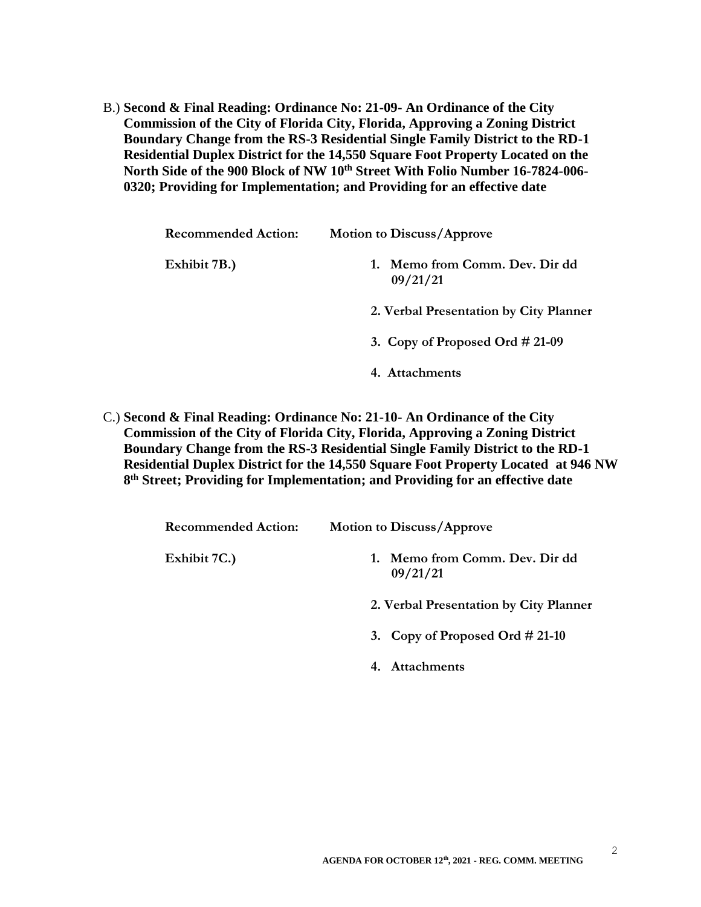B.) **Second & Final Reading: Ordinance No: 21-09- An Ordinance of the City Commission of the City of Florida City, Florida, Approving a Zoning District Boundary Change from the RS-3 Residential Single Family District to the RD-1 Residential Duplex District for the 14,550 Square Foot Property Located on the North Side of the 900 Block of NW 10th Street With Folio Number 16-7824-006- 0320; Providing for Implementation; and Providing for an effective date**

| <b>Recommended Action:</b> | <b>Motion to Discuss/Approve</b>        |
|----------------------------|-----------------------------------------|
| Exhibit 7B.)               | Memo from Comm. Dev. Dir dd<br>09/21/21 |
|                            | 2. Verbal Presentation by City Planner  |
|                            | 3. Copy of Proposed Ord $\#$ 21-09      |
|                            | <b>Attachments</b>                      |

C.) **Second & Final Reading: Ordinance No: 21-10- An Ordinance of the City Commission of the City of Florida City, Florida, Approving a Zoning District Boundary Change from the RS-3 Residential Single Family District to the RD-1 Residential Duplex District for the 14,550 Square Foot Property Located at 946 NW 8 th Street; Providing for Implementation; and Providing for an effective date**

|              | <b>Recommended Action:</b> |    | <b>Motion to Discuss/Approve</b>        |
|--------------|----------------------------|----|-----------------------------------------|
| Exhibit 7C.) |                            | 1. | Memo from Comm. Dev. Dir dd<br>09/21/21 |
|              |                            |    | 2. Verbal Presentation by City Planner  |
|              |                            |    | 3. Copy of Proposed Ord $\#$ 21-10      |
|              |                            |    | 4. Attachments                          |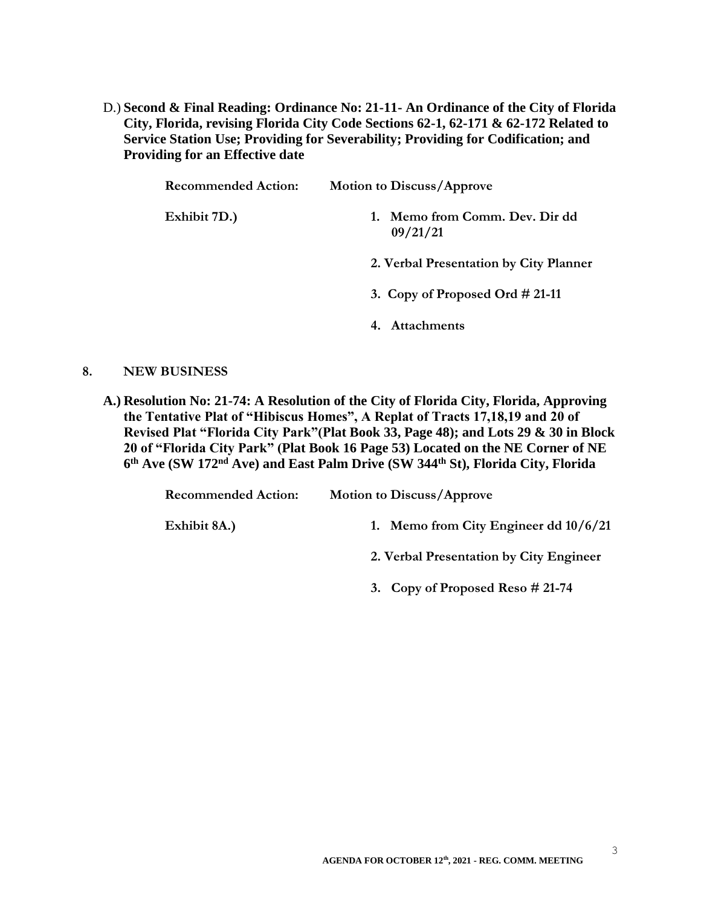D.) **Second & Final Reading: Ordinance No: 21-11- An Ordinance of the City of Florida City, Florida, revising Florida City Code Sections 62-1, 62-171 & 62-172 Related to Service Station Use; Providing for Severability; Providing for Codification; and Providing for an Effective date**

| <b>Recommended Action:</b> | <b>Motion to Discuss/Approve</b>           |
|----------------------------|--------------------------------------------|
| Exhibit 7D.)               | 1. Memo from Comm. Dev. Dir dd<br>09/21/21 |
|                            | 2. Verbal Presentation by City Planner     |
|                            | 3. Copy of Proposed Ord $\#$ 21-11         |
|                            | <b>Attachments</b>                         |
|                            |                                            |

## **8. NEW BUSINESS**

**A.) Resolution No: 21-74: A Resolution of the City of Florida City, Florida, Approving the Tentative Plat of "Hibiscus Homes", A Replat of Tracts 17,18,19 and 20 of Revised Plat "Florida City Park"(Plat Book 33, Page 48); and Lots 29 & 30 in Block 20 of "Florida City Park" (Plat Book 16 Page 53) Located on the NE Corner of NE 6 th Ave (SW 172nd Ave) and East Palm Drive (SW 344th St), Florida City, Florida**

| <b>Recommended Action:</b> | <b>Motion to Discuss/Approve</b>        |
|----------------------------|-----------------------------------------|
| Exhibit 8A.)               | 1. Memo from City Engineer dd $10/6/21$ |
|                            | 2. Verbal Presentation by City Engineer |
|                            | 3. Copy of Proposed Reso $#21-74$       |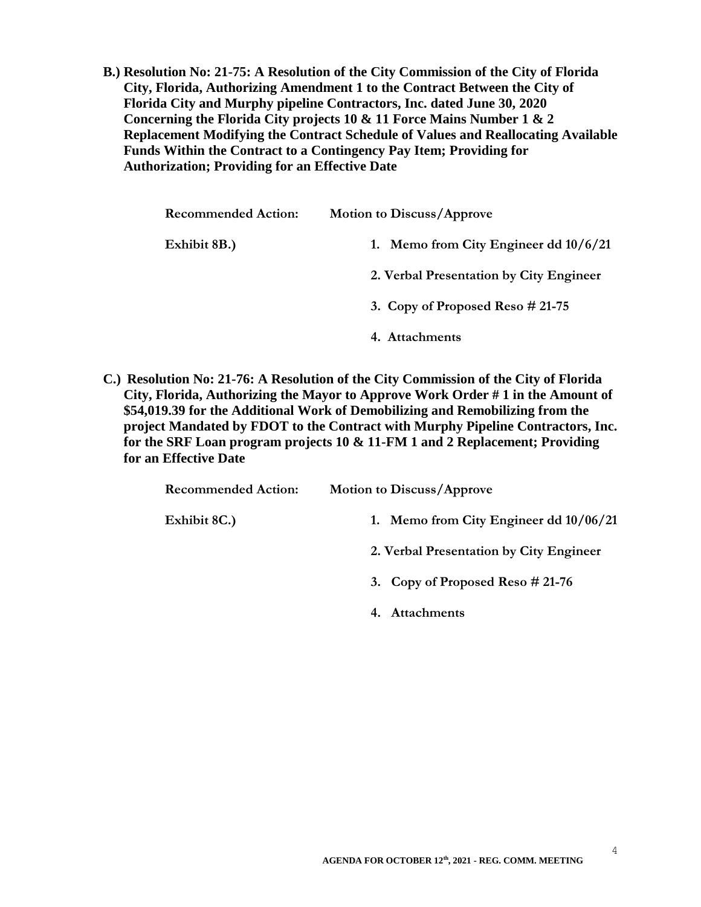**B.) Resolution No: 21-75: A Resolution of the City Commission of the City of Florida City, Florida, Authorizing Amendment 1 to the Contract Between the City of Florida City and Murphy pipeline Contractors, Inc. dated June 30, 2020 Concerning the Florida City projects 10 & 11 Force Mains Number 1 & 2 Replacement Modifying the Contract Schedule of Values and Reallocating Available Funds Within the Contract to a Contingency Pay Item; Providing for Authorization; Providing for an Effective Date**

| <b>Recommended Action:</b> | <b>Motion to Discuss/Approve</b>        |
|----------------------------|-----------------------------------------|
| Exhibit 8B.)               | 1. Memo from City Engineer dd 10/6/21   |
|                            | 2. Verbal Presentation by City Engineer |
|                            | 3. Copy of Proposed Reso $\#$ 21-75     |
|                            | 4. Attachments                          |

**C.) Resolution No: 21-76: A Resolution of the City Commission of the City of Florida City, Florida, Authorizing the Mayor to Approve Work Order # 1 in the Amount of \$54,019.39 for the Additional Work of Demobilizing and Remobilizing from the project Mandated by FDOT to the Contract with Murphy Pipeline Contractors, Inc. for the SRF Loan program projects 10 & 11-FM 1 and 2 Replacement; Providing for an Effective Date**

| <b>Recommended Action:</b> | <b>Motion to Discuss/Approve</b>         |
|----------------------------|------------------------------------------|
| Exhibit 8C.)               | 1. Memo from City Engineer dd $10/06/21$ |
|                            | 2. Verbal Presentation by City Engineer  |
|                            | 3. Copy of Proposed Reso $\#$ 21-76      |
|                            | <b>Attachments</b>                       |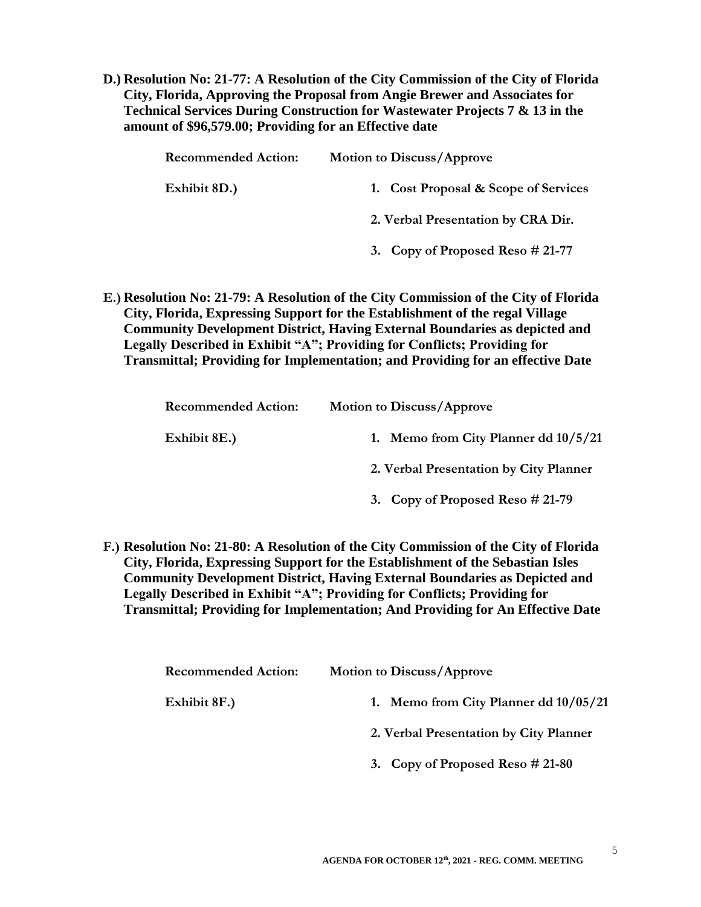**D.) Resolution No: 21-77: A Resolution of the City Commission of the City of Florida City, Florida, Approving the Proposal from Angie Brewer and Associates for Technical Services During Construction for Wastewater Projects 7 & 13 in the amount of \$96,579.00; Providing for an Effective date**

| <b>Motion to Discuss/Approve</b>     |
|--------------------------------------|
| 1. Cost Proposal & Scope of Services |
| 2. Verbal Presentation by CRA Dir.   |
| 3. Copy of Proposed Reso $#21-77$    |
|                                      |

**E.) Resolution No: 21-79: A Resolution of the City Commission of the City of Florida City, Florida, Expressing Support for the Establishment of the regal Village Community Development District, Having External Boundaries as depicted and Legally Described in Exhibit "A"; Providing for Conflicts; Providing for Transmittal; Providing for Implementation; and Providing for an effective Date**

| <b>Recommended Action:</b> | <b>Motion to Discuss/Approve</b>       |
|----------------------------|----------------------------------------|
| Exhibit 8E.)               | 1. Memo from City Planner dd $10/5/21$ |
|                            | 2. Verbal Presentation by City Planner |
|                            | 3. Copy of Proposed Reso $\#$ 21-79    |

**F.) Resolution No: 21-80: A Resolution of the City Commission of the City of Florida City, Florida, Expressing Support for the Establishment of the Sebastian Isles Community Development District, Having External Boundaries as Depicted and Legally Described in Exhibit "A"; Providing for Conflicts; Providing for Transmittal; Providing for Implementation; And Providing for An Effective Date**

| <b>Recommended Action:</b> | <b>Motion to Discuss/Approve</b>       |
|----------------------------|----------------------------------------|
| Exhibit 8F.)               | 1. Memo from City Planner dd 10/05/21  |
|                            | 2. Verbal Presentation by City Planner |
|                            | 3. Copy of Proposed Reso $#21-80$      |